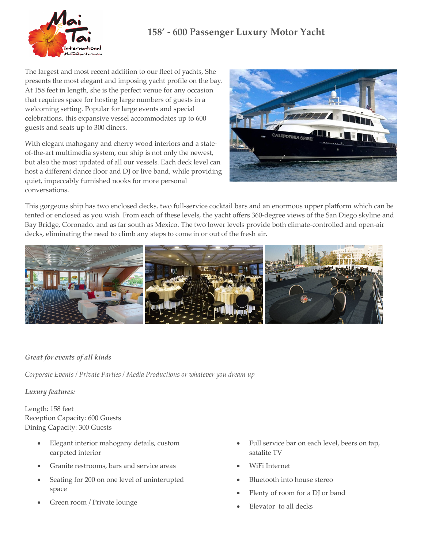# **158' - 600 Passenger Luxury Motor Yacht**



The largest and most recent addition to our fleet of yachts, She presents the most elegant and imposing yacht profile on the bay. At 158 feet in length, she is the perfect venue for any occasion that requires space for hosting large numbers of guests in a welcoming setting. Popular for large events and special celebrations, this expansive vessel accommodates up to 600 guests and seats up to 300 diners.

With elegant mahogany and cherry wood interiors and a stateof-the-art multimedia system, our ship is not only the newest, but also the most updated of all our vessels. Each deck level can host a different dance floor and DJ or live band, while providing quiet, impeccably furnished nooks for more personal conversations.



This gorgeous ship has two enclosed decks, two full-service cocktail bars and an enormous upper platform which can be tented or enclosed as you wish. From each of these levels, the yacht offers 360-degree views of the San Diego skyline and Bay Bridge, Coronado, and as far south as Mexico. The two lower levels provide both climate-controlled and open-air decks, eliminating the need to climb any steps to come in or out of the fresh air.



## *Great for events of all kinds*

*Corporate Events / Private Parties / Media Productions or whatever you dream up*

### *Luxury features:*

Length: 158 feet Reception Capacity: 600 Guests Dining Capacity: 300 Guests

- Elegant interior mahogany details, custom carpeted interior
- Granite restrooms, bars and service areas
- Seating for 200 on one level of uninterupted space
- Green room / Private lounge
- Full service bar on each level, beers on tap, satalite TV
- WiFi Internet
- Bluetooth into house stereo
- Plenty of room for a DJ or band
- Elevator to all decks